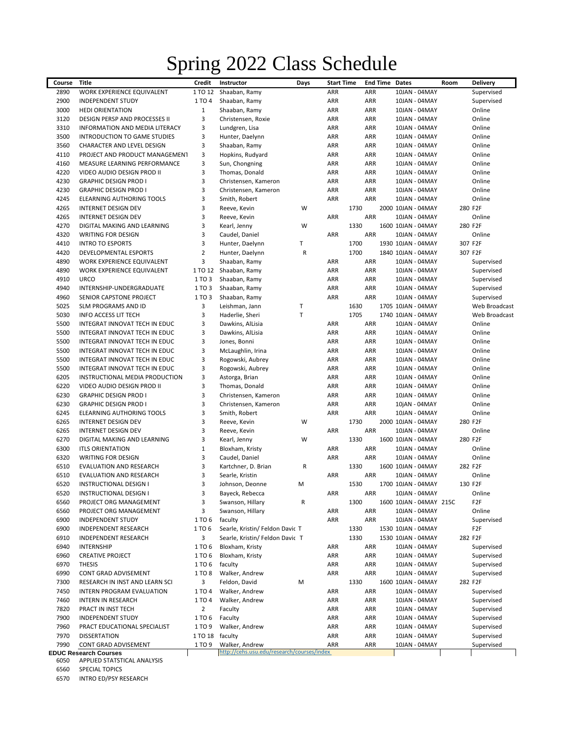## Spring 2022 Class Schedule

| Course | <b>Title</b>                     | Credit         | Instructor                                 | Days | <b>Start Time</b> | <b>End Time Dates</b> |                         | Room | <b>Delivery</b> |
|--------|----------------------------------|----------------|--------------------------------------------|------|-------------------|-----------------------|-------------------------|------|-----------------|
| 2890   | WORK EXPERIENCE EQUIVALENT       | 1 TO 12        | Shaaban, Ramy                              |      | ARR               | ARR                   | 10JAN - 04MAY           |      | Supervised      |
| 2900   | <b>INDEPENDENT STUDY</b>         | 1 TO 4         | Shaaban, Ramy                              |      | ARR               | ARR                   | 10JAN - 04MAY           |      | Supervised      |
| 3000   | <b>HEDI ORIENTATION</b>          | 1              | Shaaban, Ramy                              |      | ARR               | ARR                   | 10JAN - 04MAY           |      | Online          |
| 3120   | DESIGN PERSP AND PROCESSES II    | 3              | Christensen, Roxie                         |      | ARR               | ARR                   | 10JAN - 04MAY           |      | Online          |
| 3310   | INFORMATION AND MEDIA LITERACY   | 3              | Lundgren, Lisa                             |      | ARR               | ARR                   | 10JAN - 04MAY           |      | Online          |
| 3500   | INTRODUCTION TO GAME STUDIES     | 3              | Hunter, Daelynn                            |      | ARR               | ARR                   | 10JAN - 04MAY           |      | Online          |
| 3560   | CHARACTER AND LEVEL DESIGN       | 3              | Shaaban, Ramy                              |      | ARR               | ARR                   | 10JAN - 04MAY           |      | Online          |
| 4110   | PROJECT AND PRODUCT MANAGEMENT   | 3              | Hopkins, Rudyard                           |      | ARR               | ARR                   | 10JAN - 04MAY           |      | Online          |
| 4160   | MEASURE LEARNING PERFORMANCE     | 3              | Sun, Chongning                             |      | ARR               | ARR                   | 10JAN - 04MAY           |      | Online          |
| 4220   | VIDEO AUDIO DESIGN PROD II       | 3              | Thomas, Donald                             |      | ARR               | ARR                   | 10JAN - 04MAY           |      | Online          |
| 4230   | <b>GRAPHIC DESIGN PROD I</b>     | 3              | Christensen, Kameron                       |      | ARR               | ARR                   | 10JAN - 04MAY           |      | Online          |
| 4230   | <b>GRAPHIC DESIGN PROD I</b>     | 3              | Christensen, Kameron                       |      | ARR               | <b>ARR</b>            | 10JAN - 04MAY           |      | Online          |
| 4245   | <b>ELEARNING AUTHORING TOOLS</b> | 3              | Smith, Robert                              |      | ARR               | <b>ARR</b>            | 10JAN - 04MAY           |      | Online          |
| 4265   | INTERNET DESIGN DEV              | 3              | Reeve, Kevin                               | W    | 1730              |                       | 2000 10JAN - 04MAY      |      | 280 F2F         |
| 4265   | <b>INTERNET DESIGN DEV</b>       | 3              | Reeve, Kevin                               |      | ARR               | <b>ARR</b>            | 10JAN - 04MAY           |      | Online          |
| 4270   | DIGITAL MAKING AND LEARNING      | 3              | Kearl, Jenny                               | W    | 1330              |                       | 1600 10JAN - 04MAY      |      | 280 F2F         |
| 4320   | WRITING FOR DESIGN               | 3              | Caudel, Daniel                             |      | <b>ARR</b>        | ARR                   | 10JAN - 04MAY           |      | Online          |
| 4410   | <b>INTRO TO ESPORTS</b>          | 3              | Hunter, Daelynn                            | т    | 1700              |                       | 1930 10JAN - 04MAY      |      | 307 F2F         |
| 4420   | DEVELOPMENTAL ESPORTS            | $\overline{2}$ | Hunter, Daelynn                            | R    | 1700              |                       | 1840 10JAN - 04MAY      |      | 307 F2F         |
| 4890   | WORK EXPERIENCE EQUIVALENT       | 3              | Shaaban, Ramy                              |      | ARR               | ARR                   | 10JAN - 04MAY           |      | Supervised      |
| 4890   | WORK EXPERIENCE EQUIVALENT       | 1 TO 12        | Shaaban, Ramy                              |      | ARR               | ARR                   | 10JAN - 04MAY           |      | Supervised      |
| 4910   | <b>URCO</b>                      | 1 TO 3         | Shaaban, Ramy                              |      | ARR               | ARR                   | 10JAN - 04MAY           |      | Supervised      |
| 4940   | INTERNSHIP-UNDERGRADUATE         | 1 TO 3         | Shaaban, Ramy                              |      | ARR               | ARR                   | 10JAN - 04MAY           |      | Supervised      |
| 4960   | SENIOR CAPSTONE PROJECT          | 1 TO 3         | Shaaban, Ramy                              |      | ARR               | <b>ARR</b>            | 10JAN - 04MAY           |      | Supervised      |
| 5025   | SLM PROGRAMS AND ID              | 3              | Leishman, Jann                             | т    | 1630              |                       | 1705 10JAN - 04MAY      |      | Web Broadcast   |
| 5030   | <b>INFO ACCESS LIT TECH</b>      | 3              | Haderlie, Sheri                            | Т    | 1705              |                       | 1740 10JAN - 04MAY      |      | Web Broadcast   |
| 5500   | INTEGRAT INNOVAT TECH IN EDUC    | 3              | Dawkins, AlLisia                           |      | ARR               | ARR                   | 10JAN - 04MAY           |      | Online          |
| 5500   | INTEGRAT INNOVAT TECH IN EDUC    | 3              | Dawkins, AlLisia                           |      | ARR               | <b>ARR</b>            | 10JAN - 04MAY           |      | Online          |
| 5500   | INTEGRAT INNOVAT TECH IN EDUC    | 3              | Jones, Bonni                               |      | ARR               | ARR                   | 10JAN - 04MAY           |      | Online          |
| 5500   | INTEGRAT INNOVAT TECH IN EDUC    | 3              | McLaughlin, Irina                          |      | ARR               | ARR                   | 10JAN - 04MAY           |      | Online          |
| 5500   | INTEGRAT INNOVAT TECH IN EDUC    | 3              | Rogowski, Aubrey                           |      | ARR               | ARR                   | 10JAN - 04MAY           |      | Online          |
| 5500   | INTEGRAT INNOVAT TECH IN EDUC    | 3              | Rogowski, Aubrey                           |      | ARR               | ARR                   | 10JAN - 04MAY           |      | Online          |
| 6205   | INSTRUCTIONAL MEDIA PRODUCTION   | 3              | Astorga, Brian                             |      | ARR               | ARR                   | 10JAN - 04MAY           |      | Online          |
| 6220   | VIDEO AUDIO DESIGN PROD II       | 3              | Thomas, Donald                             |      | ARR               | ARR                   | 10JAN - 04MAY           |      | Online          |
| 6230   | <b>GRAPHIC DESIGN PROD I</b>     | 3              | Christensen, Kameron                       |      | ARR               | <b>ARR</b>            | 10JAN - 04MAY           |      | Online          |
| 6230   | <b>GRAPHIC DESIGN PROD I</b>     | 3              | Christensen, Kameron                       |      | ARR               | <b>ARR</b>            | 10jAN - 04MAY           |      | Online          |
| 6245   | ELEARNING AUTHORING TOOLS        | 3              | Smith, Robert                              |      | ARR               | <b>ARR</b>            | 10JAN - 04MAY           |      | Online          |
| 6265   | INTERNET DESIGN DEV              | 3              | Reeve, Kevin                               | W    | 1730              |                       | 2000 10JAN - 04MAY      |      | 280 F2F         |
| 6265   | INTERNET DESIGN DEV              | 3              | Reeve, Kevin                               |      | ARR               | ARR                   | 10JAN - 04MAY           |      | Online          |
| 6270   | DIGITAL MAKING AND LEARNING      | 3              | Kearl, Jenny                               | W    | 1330              |                       | 1600 10JAN - 04MAY      |      | 280 F2F         |
| 6300   | <b>ITLS ORIENTATION</b>          | $\mathbf{1}$   | Bloxham, Kristy                            |      | ARR               | ARR                   | 10JAN - 04MAY           |      | Online          |
| 6320   | WRITING FOR DESIGN               | 3              | Caudel, Daniel                             |      | <b>ARR</b>        | <b>ARR</b>            | 10JAN - 04MAY           |      | Online          |
| 6510   | EVALUATION AND RESEARCH          | 3              | Kartchner, D. Brian                        | R    | 1330              |                       | 1600 10JAN - 04MAY      |      | 282 F2F         |
| 6510   | <b>EVALUATION AND RESEARCH</b>   | 3              | Searle, Kristin                            |      | <b>ARR</b>        | ARR                   | 10JAN - 04MAY           |      | Online          |
| 6520   | INSTRUCTIONAL DESIGN I           | 3              | Johnson, Deonne                            | M    | 1530              |                       | 1700 10JAN - 04MAY      |      | 130 F2F         |
| 6520   | INSTRUCTIONAL DESIGN I           | 3              | Bayeck, Rebecca                            |      | ARR               | ARR                   | 10JAN - 04MAY           |      | Online          |
| 6560   | PROJECT ORG MANAGEMENT           | 3              | Swanson, Hillary                           | R    | 1300              |                       | 1600 10JAN - 04MAY 215C |      | F2F             |
| 6560   | PROJECT ORG MANAGEMENT           | 3              | Swanson, Hillary                           |      | ARR               | ARR                   | 10JAN - 04MAY           |      | Online          |
| 6900   | <b>INDEPENDENT STUDY</b>         | 1 TO 6         | faculty                                    |      | ARR               | ARR                   | 10JAN - 04MAY           |      | Supervised      |
| 6900   | INDEPENDENT RESEARCH             | 1 TO 6         | Searle, Kristin/ Feldon Davic T            |      | 1330              |                       | 1530 10JAN - 04MAY      |      | F2F             |
| 6910   | INDEPENDENT RESEARCH             | 3              | Searle, Kristin/ Feldon Davic T            |      | 1330              |                       | 1530 10JAN - 04MAY      |      | 282 F2F         |
| 6940   | INTERNSHIP                       | 1 TO 6         | Bloxham, Kristy                            |      | ARR               | ARR                   | 10JAN - 04MAY           |      | Supervised      |
| 6960   | <b>CREATIVE PROJECT</b>          | 1 TO 6         | Bloxham, Kristy                            |      | ARR               | ARR                   | 10JAN - 04MAY           |      | Supervised      |
| 6970   | <b>THESIS</b>                    | 1 TO 6         | faculty                                    |      | ARR               | ARR                   | 10JAN - 04MAY           |      | Supervised      |
| 6990   | CONT GRAD ADVISEMENT             | 1 TO 8         | Walker, Andrew                             |      | ARR               | ARR                   | 10JAN - 04MAY           |      | Supervised      |
| 7300   | RESEARCH IN INST AND LEARN SCI   | 3              | Feldon, David                              | М    | 1330              |                       | 1600 10JAN - 04MAY      |      | 282 F2F         |
| 7450   | INTERN PROGRAM EVALUATION        | 1 TO 4         | Walker, Andrew                             |      | ARR               | ARR                   | 10JAN - 04MAY           |      | Supervised      |
| 7460   | INTERN IN RESEARCH               | 1 TO 4         | Walker, Andrew                             |      | ARR               | ARR                   | 10JAN - 04MAY           |      | Supervised      |
| 7820   | PRACT IN INST TECH               | $\overline{2}$ | Faculty                                    |      | ARR               | ARR                   | 10JAN - 04MAY           |      | Supervised      |
| 7900   | <b>INDEPENDENT STUDY</b>         | 1 TO 6         | Faculty                                    |      | ARR               | ARR                   | 10JAN - 04MAY           |      | Supervised      |
| 7960   | PRACT EDUCATIONAL SPECIALIST     | 1 TO 9         | Walker, Andrew                             |      | ARR               | ARR                   | 10JAN - 04MAY           |      | Supervised      |
| 7970   | <b>DISSERTATION</b>              | 1 TO 18        | faculty                                    |      | ARR               | ARR                   | 10JAN - 04MAY           |      | Supervised      |
| 7990   | CONT GRAD ADVISEMENT             | 1 TO 9         | Walker, Andrew                             |      | ARR               | ARR                   | 10JAN - 04MAY           |      | Supervised      |
|        | <b>EDUC Research Courses</b>     |                | http://cehs.usu.edu/research/courses/index |      |                   |                       |                         |      |                 |

APPLIED STATSTICAL ANALYSIS

SPECIAL TOPICS

INTRO ED/PSY RESEARCH